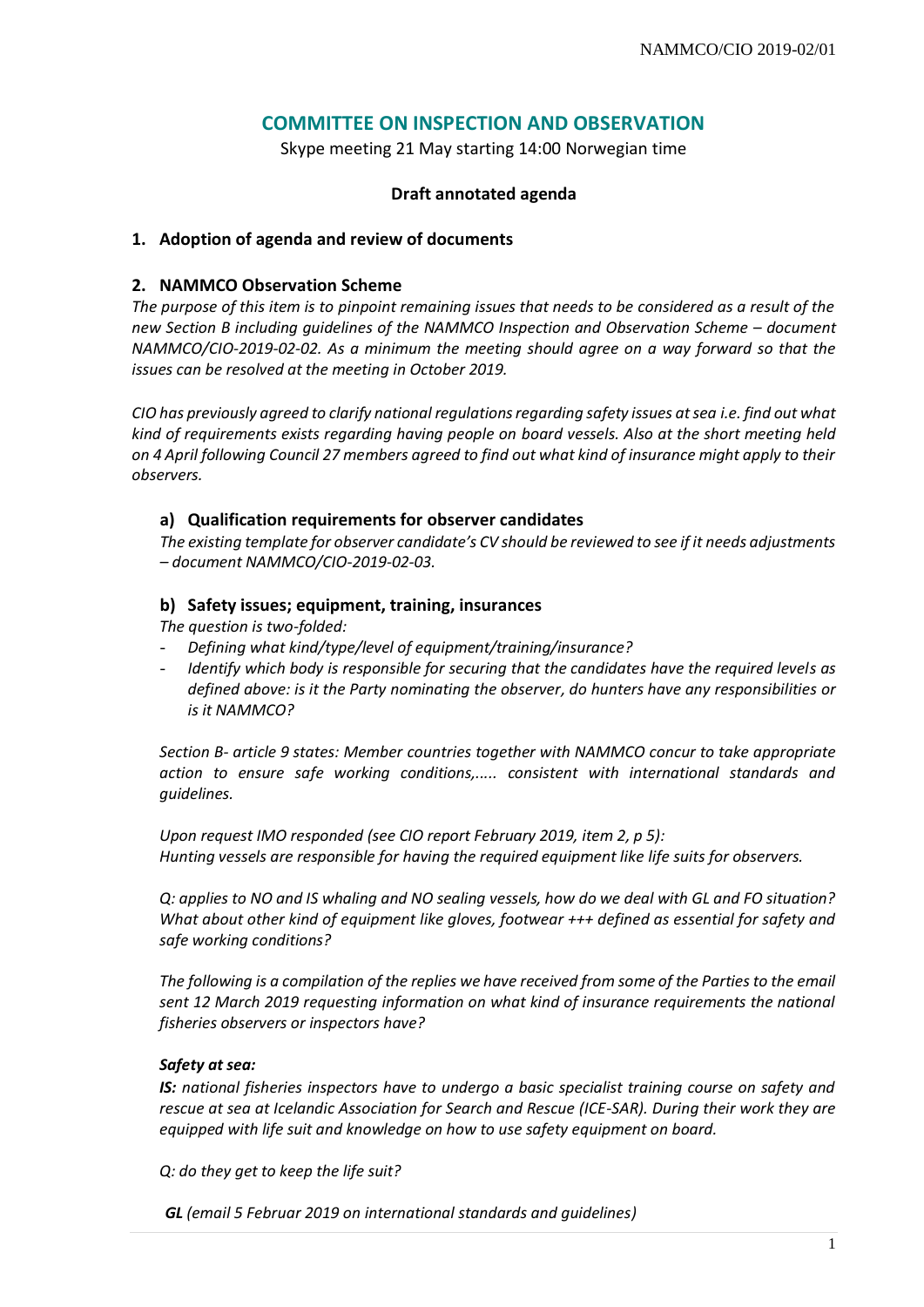# **COMMITTEE ON INSPECTION AND OBSERVATION**

Skype meeting 21 May starting 14:00 Norwegian time

# **Draft annotated agenda**

### **1. Adoption of agenda and review of documents**

# **2. NAMMCO Observation Scheme**

*The purpose of this item is to pinpoint remaining issues that needs to be considered as a result of the new Section B including guidelines of the NAMMCO Inspection and Observation Scheme – document NAMMCO/CIO-2019-02-02. As a minimum the meeting should agree on a way forward so that the issues can be resolved at the meeting in October 2019.* 

*CIO has previously agreed to clarify national regulations regarding safety issues at sea i.e. find out what kind of requirements exists regarding having people on board vessels. Also at the short meeting held on 4 April following Council 27 members agreed to find out what kind of insurance might apply to their observers.*

### **a) Qualification requirements for observer candidates**

*The existing template for observer candidate's CV should be reviewed to see if it needs adjustments – document NAMMCO/CIO-2019-02-03.*

## **b) Safety issues; equipment, training, insurances**

*The question is two-folded:* 

- *Defining what kind/type/level of equipment/training/insurance?*
- *Identify which body is responsible for securing that the candidates have the required levels as defined above: is it the Party nominating the observer, do hunters have any responsibilities or is it NAMMCO?*

*Section B- article 9 states: Member countries together with NAMMCO concur to take appropriate action to ensure safe working conditions,..... consistent with international standards and guidelines.* 

*Upon request IMO responded (see CIO report February 2019, item 2, p 5): Hunting vessels are responsible for having the required equipment like life suits for observers.* 

*Q: applies to NO and IS whaling and NO sealing vessels, how do we deal with GL and FO situation? What about other kind of equipment like gloves, footwear +++ defined as essential for safety and safe working conditions?* 

*The following is a compilation of the replies we have received from some of the Parties to the email sent 12 March 2019 requesting information on what kind of insurance requirements the national fisheries observers or inspectors have?* 

### *Safety at sea:*

*IS: national fisheries inspectors have to undergo a basic specialist training course on safety and rescue at sea at Icelandic Association for Search and Rescue (ICE-SAR). During their work they are equipped with life suit and knowledge on how to use safety equipment on board.*

*Q: do they get to keep the life suit?* 

*GL (email 5 Februar 2019 on international standards and guidelines)*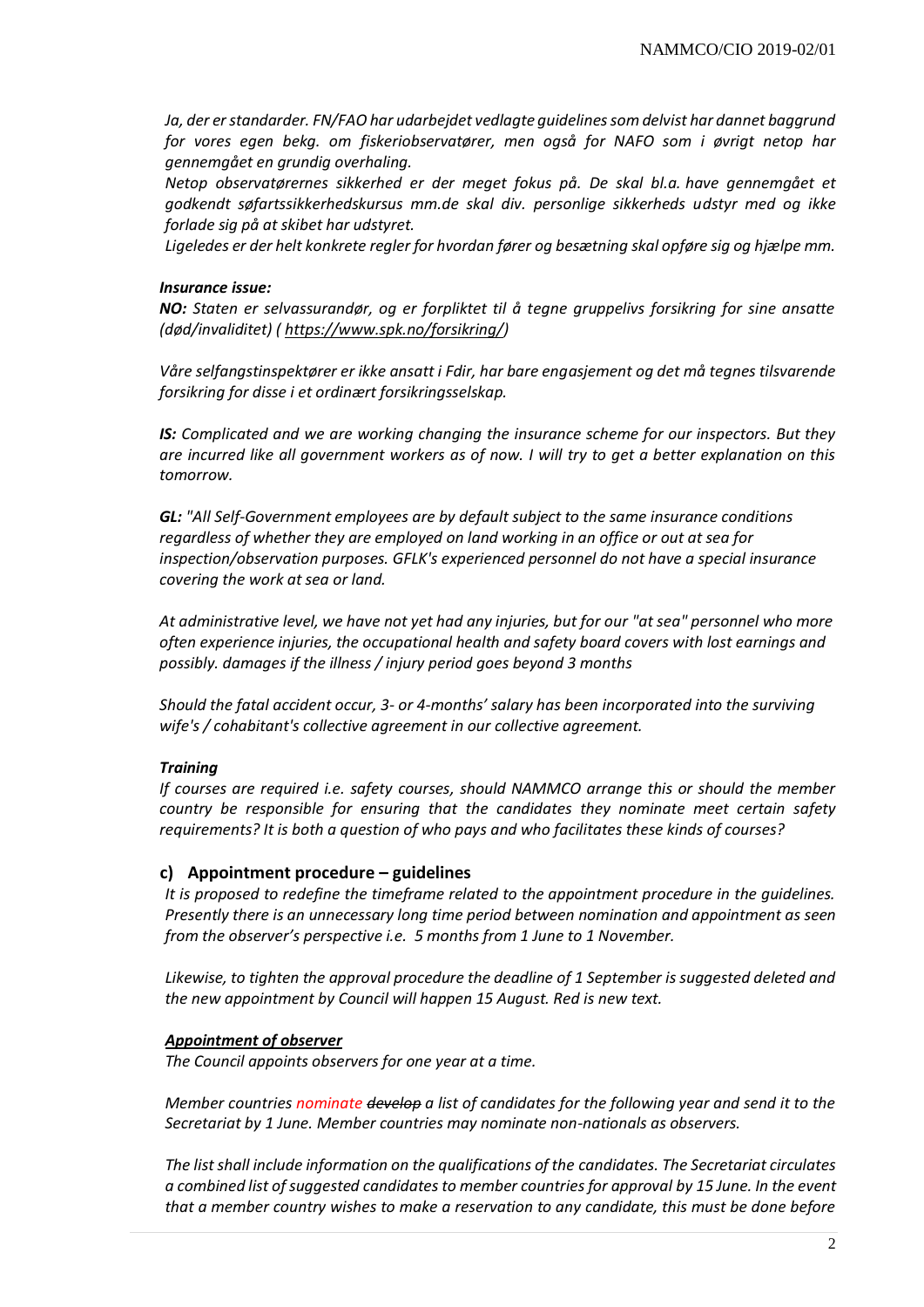*Ja, der er standarder. FN/FAO har udarbejdet vedlagte guidelines som delvist har dannet baggrund for vores egen bekg. om fiskeriobservatører, men også for NAFO som i øvrigt netop har gennemgået en grundig overhaling.*

*Netop observatørernes sikkerhed er der meget fokus på. De skal bl.a. have gennemgået et godkendt søfartssikkerhedskursus mm.de skal div. personlige sikkerheds udstyr med og ikke forlade sig på at skibet har udstyret.*

*Ligeledes er der helt konkrete regler for hvordan fører og besætning skal opføre sig og hjælpe mm.*

#### *Insurance issue:*

*NO: Staten er selvassurandør, og er forpliktet til å tegne gruppelivs forsikring for sine ansatte (død/invaliditet) ( [https://www.spk.no/forsikring/\)](https://www.spk.no/forsikring/)*

*Våre selfangstinspektører er ikke ansatt i Fdir, har bare engasjement og det må tegnes tilsvarende forsikring for disse i et ordinært forsikringsselskap.*

*IS: Complicated and we are working changing the insurance scheme for our inspectors. But they are incurred like all government workers as of now. I will try to get a better explanation on this tomorrow.*

*GL: "All Self-Government employees are by default subject to the same insurance conditions regardless of whether they are employed on land working in an office or out at sea for inspection/observation purposes. GFLK's experienced personnel do not have a special insurance covering the work at sea or land.*

*At administrative level, we have not yet had any injuries, but for our "at sea" personnel who more often experience injuries, the occupational health and safety board covers with lost earnings and possibly. damages if the illness / injury period goes beyond 3 months*

*Should the fatal accident occur, 3- or 4-months' salary has been incorporated into the surviving wife's / cohabitant's collective agreement in our collective agreement.* 

#### *Training*

*If courses are required i.e. safety courses, should NAMMCO arrange this or should the member country be responsible for ensuring that the candidates they nominate meet certain safety requirements? It is both a question of who pays and who facilitates these kinds of courses?*

#### **c) Appointment procedure – guidelines**

*It is proposed to redefine the timeframe related to the appointment procedure in the guidelines. Presently there is an unnecessary long time period between nomination and appointment as seen from the observer's perspective i.e. 5 months from 1 June to 1 November.*

*Likewise, to tighten the approval procedure the deadline of 1 September is suggested deleted and the new appointment by Council will happen 15 August. Red is new text.* 

#### *Appointment of observer*

*The Council appoints observers for one year at a time.* 

*Member countries nominate develop a list of candidates for the following year and send it to the Secretariat by 1 June. Member countries may nominate non-nationals as observers.* 

*The list shall include information on the qualifications of the candidates. The Secretariat circulates a combined list of suggested candidates to member countries for approval by 15 June. In the event that a member country wishes to make a reservation to any candidate, this must be done before*